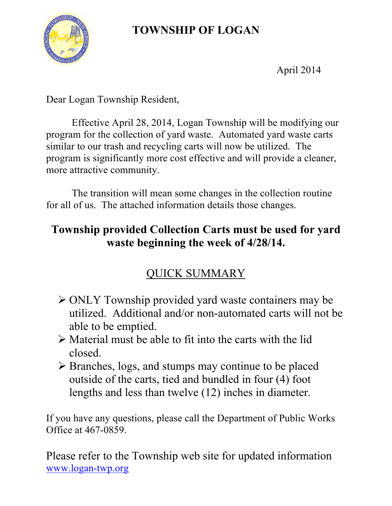# **TOWNSHIP OF LOGAN**



April 2014

Dear Logan Township Resident,

 Effective April 28, 2014, Logan Township will be modifying our program for the collection of yard waste. Automated yard waste carts similar to our trash and recycling carts will now be utilized. The program is significantly more cost effective and will provide a cleaner, more attractive community.

 The transition will mean some changes in the collection routine for all of us. The attached information details those changes.

### **Township provided Collection Carts must be used for yard waste beginning the week of 4/28/14.**

## QUICK SUMMARY

- ONLY Township provided yard waste containers may be utilized. Additional and/or non-automated carts will not be able to be emptied.
- $\triangleright$  Material must be able to fit into the carts with the lid closed.
- Branches, logs, and stumps may continue to be placed outside of the carts, tied and bundled in four (4) foot lengths and less than twelve (12) inches in diameter.

If you have any questions, please call the Department of Public Works Office at 467-0859.

Please refer to the Township web site for updated information www.logan-twp.org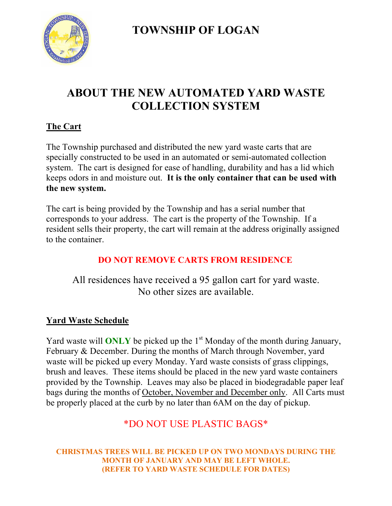**TOWNSHIP OF LOGAN**



### **ABOUT THE NEW AUTOMATED YARD WASTE COLLECTION SYSTEM**

### **The Cart**

The Township purchased and distributed the new yard waste carts that are specially constructed to be used in an automated or semi-automated collection system. The cart is designed for ease of handling, durability and has a lid which keeps odors in and moisture out. **It is the only container that can be used with the new system.**

The cart is being provided by the Township and has a serial number that corresponds to your address. The cart is the property of the Township. If a resident sells their property, the cart will remain at the address originally assigned to the container.

### **DO NOT REMOVE CARTS FROM RESIDENCE**

All residences have received a 95 gallon cart for yard waste. No other sizes are available.

### **Yard Waste Schedule**

Yard waste will **ONLY** be picked up the 1<sup>st</sup> Monday of the month during January, February & December. During the months of March through November, yard waste will be picked up every Monday. Yard waste consists of grass clippings, brush and leaves. These items should be placed in the new yard waste containers provided by the Township. Leaves may also be placed in biodegradable paper leaf bags during the months of October, November and December only. All Carts must be properly placed at the curb by no later than 6AM on the day of pickup.

### \*DO NOT USE PLASTIC BAGS\*

**CHRISTMAS TREES WILL BE PICKED UP ON TWO MONDAYS DURING THE MONTH OF JANUARY AND MAY BE LEFT WHOLE. (REFER TO YARD WASTE SCHEDULE FOR DATES)**